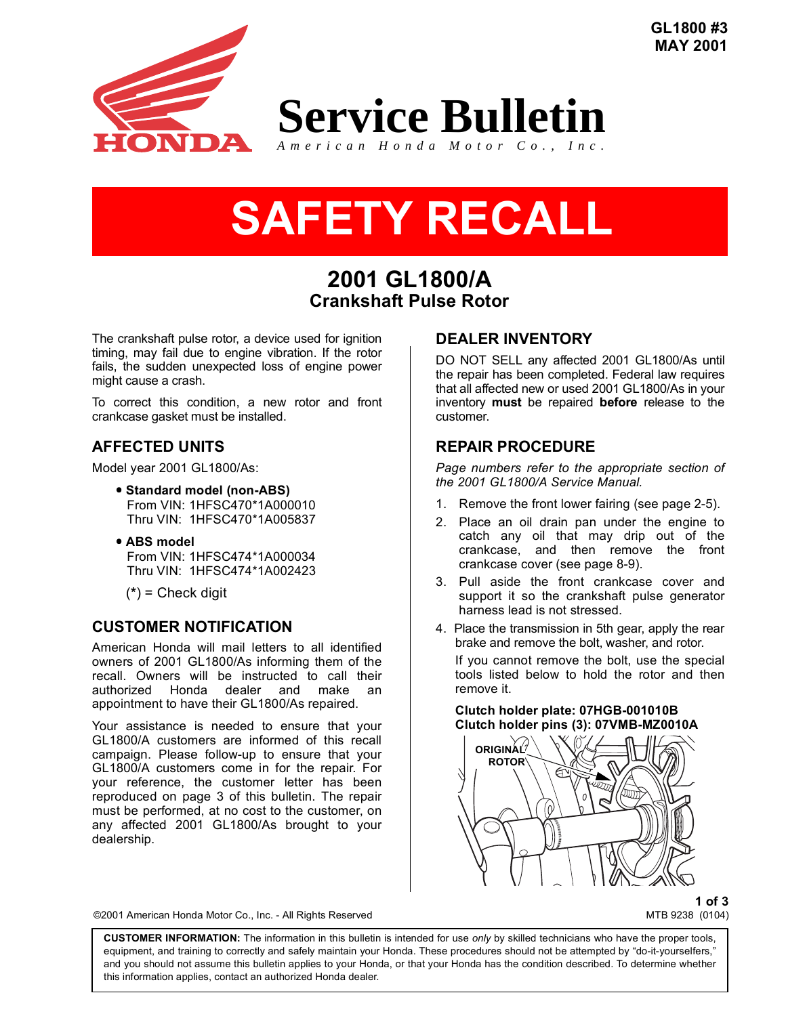**GL1800 #3 MAY 2001**



# **SAFETY RECALL SAFETY RECALL**

## **2001 GL1800/A Crankshaft Pulse Rotor**

The crankshaft pulse rotor, a device used for ignition timing, may fail due to engine vibration. If the rotor fails, the sudden unexpected loss of engine power might cause a crash.

To correct this condition, a new rotor and front crankcase gasket must be installed.

## **AFFECTED UNITS**

Model year 2001 GL1800/As:

- Standard model (non-ABS) From VIN: 1HFSC470\*1A000010 Thru VIN: 1HFSC470\*1A005837
- **ABS model** From VIN: 1HFSC474\*1A000034 Thru VIN: 1HFSC474\*1A002423

(**\***) = Check digit

#### **CUSTOMER NOTIFICATION**

American Honda will mail letters to all identified owners of 2001 GL1800/As informing them of the recall. Owners will be instructed to call their authorized Honda dealer and make an appointment to have their GL1800/As repaired.

Your assistance is needed to ensure that your GL1800/A customers are informed of this recall campaign. Please follow-up to ensure that your GL1800/A customers come in for the repair. For your reference, the customer letter has been reproduced on page 3 of this bulletin. The repair must be performed, at no cost to the customer, on any affected 2001 GL1800/As brought to your dealership.

## **DEALER INVENTORY**

DO NOT SELL any affected 2001 GL1800/As until the repair has been completed. Federal law requires that all affected new or used 2001 GL1800/As in your inventory **must** be repaired **before** release to the customer.

## **REPAIR PROCEDURE**

*Page numbers refer to the appropriate section of the 2001 GL1800/A Service Manual.*

- 1. Remove the front lower fairing (see page 2-5).
- 2. Place an oil drain pan under the engine to catch any oil that may drip out of the crankcase, and then remove the front crankcase cover (see page 8-9).
- 3. Pull aside the front crankcase cover and support it so the crankshaft pulse generator harness lead is not stressed.
- 4. Place the transmission in 5th gear, apply the rear brake and remove the bolt, washer, and rotor.

If you cannot remove the bolt, use the special tools listed below to hold the rotor and then remove it.

**Clutch holder plate: 07HGB-001010B Clutch holder pins (3): 07VMB-MZ0010A**



**1 of 3**

©2001 American Honda Motor Co., Inc. - All Rights Reserved MTB 9238 (0104)

**CUSTOMER INFORMATION:** The information in this bulletin is intended for use *only* by skilled technicians who have the proper tools, equipment, and training to correctly and safely maintain your Honda. These procedures should not be attempted by "do-it-yourselfers," and you should not assume this bulletin applies to your Honda, or that your Honda has the condition described. To determine whether this information applies, contact an authorized Honda dealer.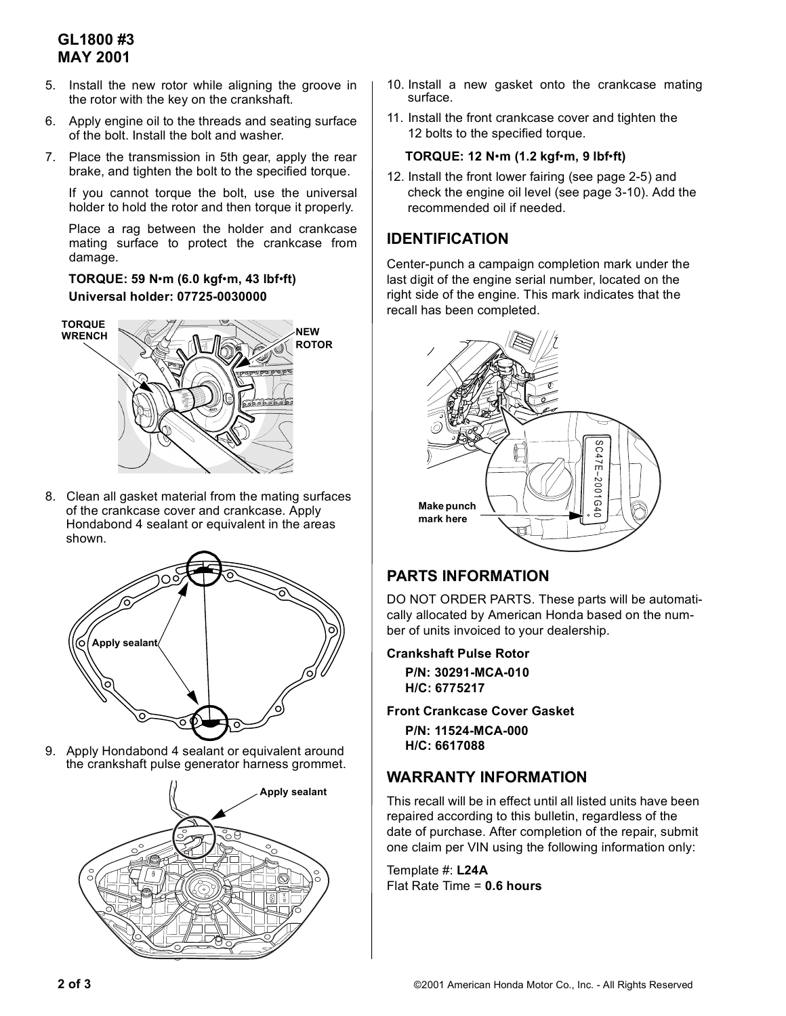## **GL1800 #3 MAY 2001**

- 5. Install the new rotor while aligning the groove in the rotor with the key on the crankshaft.
- 6. Apply engine oil to the threads and seating surface of the bolt. Install the bolt and washer.
- 7. Place the transmission in 5th gear, apply the rear brake, and tighten the bolt to the specified torque.

If you cannot torque the bolt, use the universal holder to hold the rotor and then torque it properly.

Place a rag between the holder and crankcase mating surface to protect the crankcase from damage.

#### **TORQUE: 59 N**ï**m (6.0 kgf**ï**m, 43 lbf**ï**ft) Universal holder: 07725-0030000**



8. Clean all gasket material from the mating surfaces of the crankcase cover and crankcase. Apply Hondabond 4 sealant or equivalent in the areas shown.



9. Apply Hondabond 4 sealant or equivalent around the crankshaft pulse generator harness grommet.



- 10. Install a new gasket onto the crankcase mating surface.
- 11. Install the front crankcase cover and tighten the 12 bolts to the specified torque.

#### **TORQUE: 12 N**ï**m (1.2 kgf**ï**m, 9 lbf**ï**ft)**

12. Install the front lower fairing (see page 2-5) and check the engine oil level (see page 3-10). Add the recommended oil if needed.

### **IDENTIFICATION**

Center-punch a campaign completion mark under the last digit of the engine serial number, located on the right side of the engine. This mark indicates that the recall has been completed.



## **PARTS INFORMATION**

DO NOT ORDER PARTS. These parts will be automatically allocated by American Honda based on the number of units invoiced to your dealership.

**Crankshaft Pulse Rotor**

**P/N: 30291-MCA-010 H/C: 6775217**

**Front Crankcase Cover Gasket**

**P/N: 11524-MCA-000 H/C: 6617088**

## **WARRANTY INFORMATION**

This recall will be in effect until all listed units have been repaired according to this bulletin, regardless of the date of purchase. After completion of the repair, submit one claim per VIN using the following information only:

Template #: **L24A** Flat Rate Time = **0.6 hours**